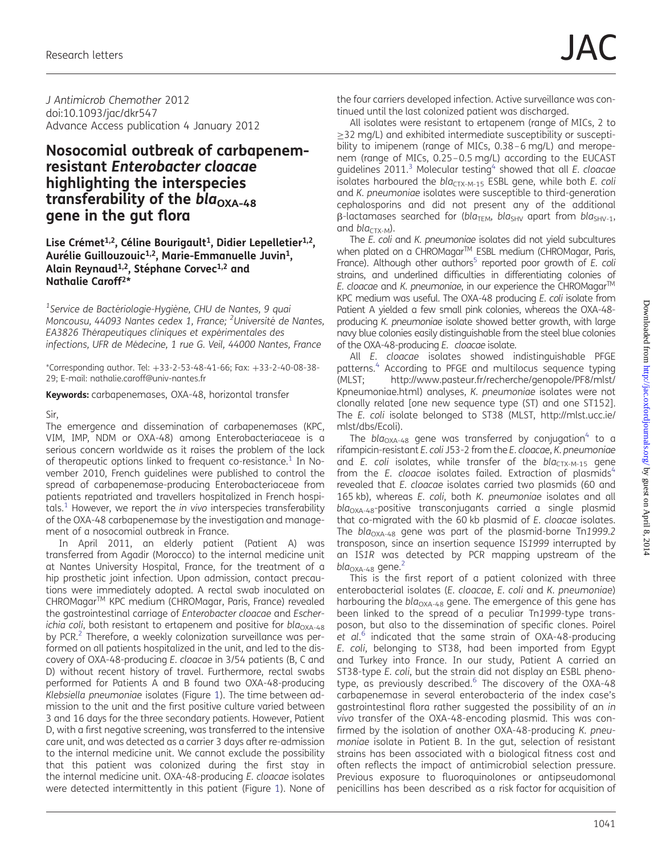J Antimicrob Chemother 2012 doi:10.1093/jac/dkr547 Advance Access publication 4 January 2012

# Nosocomial outbreak of carbapenemresistant Enterobacter cloacae highlighting the interspecies transferability of the  $bla_{\text{OXA-48}}$ gene in the gut flora

### Lise Crémet<sup>1,2</sup>, Céline Bourigault<sup>1</sup>, Didier Lepelletier<sup>1,2</sup>, Aurélie Guillouzouic<sup>1,2</sup>, Marie-Emmanuelle Juvin<sup>1</sup>, Alain Reynaud<sup>1,2</sup>, Stéphane Corvec<sup>1,2</sup> and Nathalie Caroff2\*

<sup>1</sup>Service de Bactériologie-Hygiène, CHU de Nantes, 9 quai Moncousu, 44093 Nantes cedex 1, France; <sup>2</sup>Université de Nantes, EA3826 Thérapeutiques cliniques et expérimentales des infections, UFR de Médecine, 1 rue G. Veil, 44000 Nantes, France

\*Corresponding author. Tel: +33-2-53-48-41-66; Fax: +33-2-40-08-38- 29; E-mail: nathalie.caroff@univ-nantes.fr

Keywords: carbapenemases, OXA-48, horizontal transfer

### Sir,

The emergence and dissemination of carbapenemases (KPC, VIM, IMP, NDM or OXA-48) among Enterobacteriaceae is a serious concern worldwide as it raises the problem of the lack of therapeutic options linked to frequent co-resistance.<sup>[1](#page-2-0)</sup> In November 2010, French guidelines were published to control the spread of carbapenemase-producing Enterobacteriaceae from patients repatriated and travellers hospitalized in French hospi-tals.<sup>[1](#page-2-0)</sup> However, we report the *in vivo* interspecies transferability of the OXA-48 carbapenemase by the investigation and management of a nosocomial outbreak in France.

In April 2011, an elderly patient (Patient A) was transferred from Agadir (Morocco) to the internal medicine unit at Nantes University Hospital, France, for the treatment of a hip prosthetic joint infection. Upon admission, contact precautions were immediately adopted. A rectal swab inoculated on CHROMagarTM KPC medium (CHROMagar, Paris, France) revealed the gastrointestinal carriage of Enterobacter cloacae and Escherichia coli, both resistant to ertapenem and positive for bla<sub>OXA-48</sub> by PCR.<sup>2</sup> Therefore, a weekly colonization surveillance was performed on all patients hospitalized in the unit, and led to the discovery of OXA-48-producing E. cloacae in 3/54 patients (B, C and D) without recent history of travel. Furthermore, rectal swabs performed for Patients A and B found two OXA-48-producing Klebsiella pneumoniae isolates (Figure [1](#page-1-0)). The time between admission to the unit and the first positive culture varied between 3 and 16 days for the three secondary patients. However, Patient D, with a first negative screening, was transferred to the intensive care unit, and was detected as a carrier 3 days after re-admission to the internal medicine unit. We cannot exclude the possibility that this patient was colonized during the first stay in the internal medicine unit. OXA-48-producing E. cloacae isolates were detected intermittently in this patient (Figure [1](#page-1-0)). None of the four carriers developed infection. Active surveillance was continued until the last colonized patient was discharged.

All isolates were resistant to ertapenem (range of MICs, 2 to ≥32 mg/L) and exhibited intermediate susceptibility or susceptibility to imipenem (range of MICs, 0.38–6 mg/L) and meropenem (range of MICs, 0.25–0.5 mg/L) according to the EUCAST guidelines  $2011$ <sup>[3](#page-2-0)</sup> Molecular testing<sup>[4](#page-2-0)</sup> showed that all *E. cloacae* isolates harboured the  $bla_{CTX-M-15}$  ESBL gene, while both E. coli and K. pneumoniae isolates were susceptible to third-generation cephalosporins and did not present any of the additional  $\beta$ -lactamases searched for (bla<sub>TEM</sub>, bla<sub>SHV</sub> apart from bla<sub>SHV-1</sub>, and  $bla_{CTX-M}$ ).

The E. coli and K. pneumoniae isolates did not yield subcultures when plated on a CHROMagar™ ESBL medium (CHROMagar, Paris, France). Although other authors<sup>5</sup> reported poor growth of E. coli strains, and underlined difficulties in differentiating colonies of E. cloacae and K. pneumoniae, in our experience the CHROMagar™ KPC medium was useful. The OXA-48 producing E. coli isolate from Patient A yielded a few small pink colonies, whereas the OXA-48 producing K. pneumoniae isolate showed better growth, with large navy blue colonies easily distinguishable from the steel blue colonies of the OXA-48-producing E. cloacae isolate.

All E. cloacae isolates showed indistinguishable PFGE patterns.<sup>4</sup> According to PFGE and multilocus sequence typing (MLST; [http://www.pasteur.fr/recherche/genopole/PF8/mlst/](http://www.pasteur.fr/recherche/genopole/PF8/mlst/Kpneumoniae.html) [Kpneumoniae.html](http://www.pasteur.fr/recherche/genopole/PF8/mlst/Kpneumoniae.html)) analyses, K. pneumoniae isolates were not clonally related [one new sequence type (ST) and one ST152]. The E. coli isolate belonged to ST38 (MLST, [http://mlst.ucc.ie/](http://mlst.ucc.ie/mlst/dbs/Ecoli) [mlst/dbs/Ecoli\)](http://mlst.ucc.ie/mlst/dbs/Ecoli).

The bla<sub>OXA-[4](#page-2-0)8</sub> gene was transferred by conjugation<sup>4</sup> to a rifampicin-resistant E. coli J53-2 from the E. cloacae, K. pneumoniae and E. coli isolates, while transfer of the  $bla_{CTX-M-15}$  gene from the E. cloacae isolates failed. Extraction of plasmids $4$ revealed that E. cloacae isolates carried two plasmids (60 and 165 kb), whereas E. coli, both K. pneumoniae isolates and all  $bla<sub>OXA-48</sub>$ -positive transconjugants carried a single plasmid that co-migrated with the 60 kb plasmid of E. cloacae isolates. The bla<sub>OXA-48</sub> gene was part of the plasmid-borne Tn1999.2 transposon, since an insertion sequence IS1999 interrupted by an IS1R was detected by PCR mapping upstream of the  $bla_{OXA-48}$  gene.<sup>[2](#page-2-0)</sup>

This is the first report of a patient colonized with three enterobacterial isolates (E. cloacae, E. coli and K. pneumoniae) harbouring the  $bla_{\text{OXA-48}}$  gene. The emergence of this gene has been linked to the spread of a peculiar Tn1999-type transposon, but also to the dissemination of specific clones. Poirel et al.<sup>[6](#page-2-0)</sup> indicated that the same strain of OXA-48-producing E. coli, belonging to ST38, had been imported from Egypt and Turkey into France. In our study, Patient A carried an ST38-type E. coli, but the strain did not display an ESBL phenotype, as previously described. $6\overline{}$  $6\overline{}$  The discovery of the OXA-48 carbapenemase in several enterobacteria of the index case's gastrointestinal flora rather suggested the possibility of an in vivo transfer of the OXA-48-encoding plasmid. This was confirmed by the isolation of another OXA-48-producing K. pneumoniae isolate in Patient B. In the gut, selection of resistant strains has been associated with a biological fitness cost and often reflects the impact of antimicrobial selection pressure. Previous exposure to fluoroquinolones or antipseudomonal penicillins has been described as a risk factor for acquisition of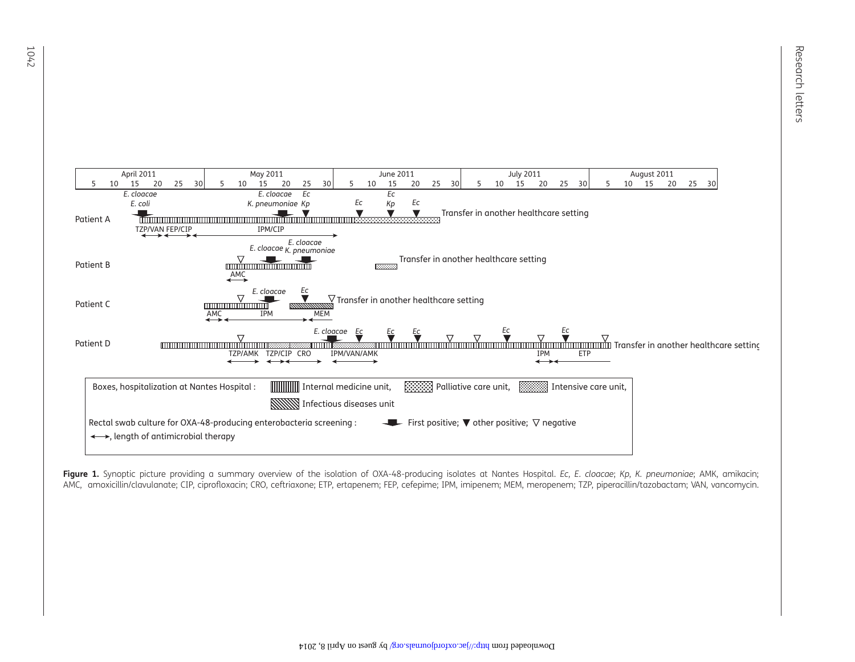<span id="page-1-0"></span>

Figure 1. Synoptic picture providing a summary overview of the isolation of OXA-48-producing isolates at Nantes Hospital. Ec, E. cloacae; Kp, K. pneumoniae; AMK, amikacin; AMC, amoxicillin/clavulanate; CIP, ciprofloxacin; CRO, ceftriaxone; ETP, ertapenem; FEP, cefepime; IPM, imipenem; MEM, meropenem; TZP, piperacillin/tazobactam; VAN, vancomycin.